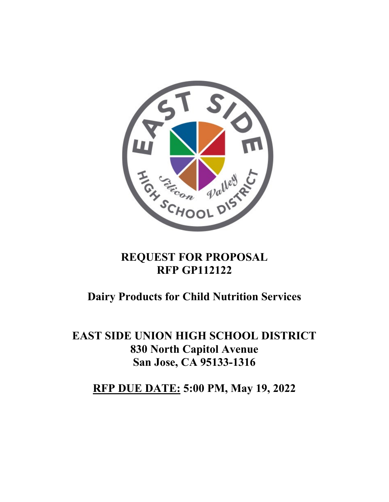

# **REQUEST FOR PROPOSAL RFP GP112122**

# **Dairy Products for Child Nutrition Services**

**EAST SIDE UNION HIGH SCHOOL DISTRICT 830 North Capitol Avenue San Jose, CA 95133-1316** 

**RFP DUE DATE: 5:00 PM, May 19, 2022**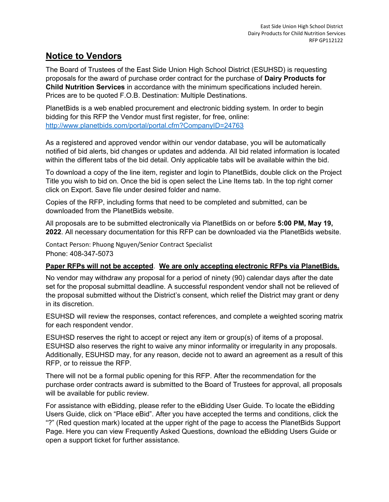#### **Notice to Vendors**

The Board of Trustees of the East Side Union High School District (ESUHSD) is requesting proposals for the award of purchase order contract for the purchase of **Dairy Products for Child Nutrition Services** in accordance with the minimum specifications included herein. Prices are to be quoted F.O.B. Destination: Multiple Destinations.

PlanetBids is a web enabled procurement and electronic bidding system. In order to begin bidding for this RFP the Vendor must first register, for free, online: <http://www.planetbids.com/portal/portal.cfm?CompanyID=24763>

As a registered and approved vendor within our vendor database, you will be automatically notified of bid alerts, bid changes or updates and addenda. All bid related information is located within the different tabs of the bid detail. Only applicable tabs will be available within the bid.

To download a copy of the line item, register and login to PlanetBids, double click on the Project Title you wish to bid on. Once the bid is open select the Line Items tab. In the top right corner click on Export. Save file under desired folder and name.

Copies of the RFP, including forms that need to be completed and submitted, can be downloaded from the PlanetBids website.

All proposals are to be submitted electronically via PlanetBids on or before **5:00 PM, May 19, 2022**. All necessary documentation for this RFP can be downloaded via the PlanetBids website.

Contact Person: Phuong Nguyen/Senior Contract Specialist Phone: 408-347-5073

#### **Paper RFPs will not be accepted**. **We are only accepting electronic RFPs via PlanetBids.**

No vendor may withdraw any proposal for a period of ninety (90) calendar days after the date set for the proposal submittal deadline. A successful respondent vendor shall not be relieved of the proposal submitted without the District's consent, which relief the District may grant or deny in its discretion.

ESUHSD will review the responses, contact references, and complete a weighted scoring matrix for each respondent vendor.

ESUHSD reserves the right to accept or reject any item or group(s) of items of a proposal. ESUHSD also reserves the right to waive any minor informality or irregularity in any proposals. Additionally, ESUHSD may, for any reason, decide not to award an agreement as a result of this RFP, or to reissue the RFP.

There will not be a formal public opening for this RFP. After the recommendation for the purchase order contracts award is submitted to the Board of Trustees for approval, all proposals will be available for public review.

For assistance with eBidding, please refer to the eBidding User Guide. To locate the eBidding Users Guide, click on "Place eBid". After you have accepted the terms and conditions, click the "?" (Red question mark) located at the upper right of the page to access the PlanetBids Support Page. Here you can view Frequently Asked Questions, download the eBidding Users Guide or open a support ticket for further assistance.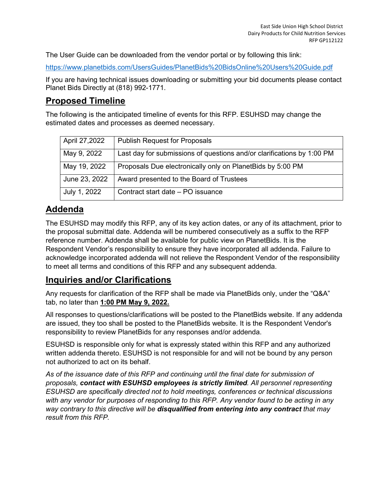The User Guide can be downloaded from the vendor portal or by following this link:

<https://www.planetbids.com/UsersGuides/PlanetBids%20BidsOnline%20Users%20Guide.pdf>

If you are having technical issues downloading or submitting your bid documents please contact Planet Bids Directly at (818) 992-1771.

### **Proposed Timeline**

The following is the anticipated timeline of events for this RFP. ESUHSD may change the estimated dates and processes as deemed necessary.

| April 27,2022 | <b>Publish Request for Proposals</b>                                   |
|---------------|------------------------------------------------------------------------|
| May 9, 2022   | Last day for submissions of questions and/or clarifications by 1:00 PM |
| May 19, 2022  | Proposals Due electronically only on Planet Bids by 5:00 PM            |
| June 23, 2022 | Award presented to the Board of Trustees                               |
| July 1, 2022  | Contract start date – PO issuance                                      |

# **Addenda**

The ESUHSD may modify this RFP, any of its key action dates, or any of its attachment, prior to the proposal submittal date. Addenda will be numbered consecutively as a suffix to the RFP reference number. Addenda shall be available for public view on PlanetBids. It is the Respondent Vendor's responsibility to ensure they have incorporated all addenda. Failure to acknowledge incorporated addenda will not relieve the Respondent Vendor of the responsibility to meet all terms and conditions of this RFP and any subsequent addenda.

#### **Inquiries and/or Clarifications**

Any requests for clarification of the RFP shall be made via PlanetBids only, under the "Q&A" tab, no later than **1:00 PM May 9, 2022.**

All responses to questions/clarifications will be posted to the PlanetBids website. If any addenda are issued, they too shall be posted to the PlanetBids website. It is the Respondent Vendor's responsibility to review PlanetBids for any responses and/or addenda.

ESUHSD is responsible only for what is expressly stated within this RFP and any authorized written addenda thereto. ESUHSD is not responsible for and will not be bound by any person not authorized to act on its behalf.

*As of the issuance date of this RFP and continuing until the final date for submission of proposals, contact with ESUHSD employees is strictly limited. All personnel representing ESUHSD are specifically directed not to hold meetings, conferences or technical discussions with any vendor for purposes of responding to this RFP. Any vendor found to be acting in any way contrary to this directive will be disqualified from entering into any contract that may result from this RFP.*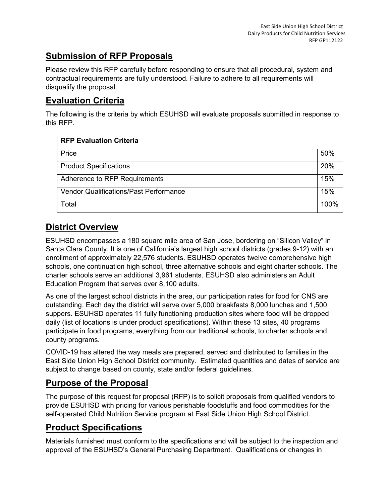### **Submission of RFP Proposals**

Please review this RFP carefully before responding to ensure that all procedural, system and contractual requirements are fully understood. Failure to adhere to all requirements will disqualify the proposal.

# **Evaluation Criteria**

The following is the criteria by which ESUHSD will evaluate proposals submitted in response to this RFP.

| <b>RFP Evaluation Criteria</b>                |  |  |
|-----------------------------------------------|--|--|
| Price                                         |  |  |
| <b>Product Specifications</b>                 |  |  |
| Adherence to RFP Requirements                 |  |  |
| <b>Vendor Qualifications/Past Performance</b> |  |  |
| Total                                         |  |  |

# **District Overview**

ESUHSD encompasses a 180 square mile area of San Jose, bordering on "Silicon Valley" in Santa Clara County. It is one of California's largest high school districts (grades 9-12) with an enrollment of approximately 22,576 students. ESUHSD operates twelve comprehensive high schools, one continuation high school, three alternative schools and eight charter schools. The charter schools serve an additional 3,961 students. ESUHSD also administers an Adult Education Program that serves over 8,100 adults.

As one of the largest school districts in the area, our participation rates for food for CNS are outstanding. Each day the district will serve over 5,000 breakfasts 8,000 lunches and 1,500 suppers. ESUHSD operates 11 fully functioning production sites where food will be dropped daily (list of locations is under product specifications). Within these 13 sites, 40 programs participate in food programs, everything from our traditional schools, to charter schools and county programs.

COVID-19 has altered the way meals are prepared, served and distributed to families in the East Side Union High School District community. Estimated quantities and dates of service are subject to change based on county, state and/or federal guidelines.

### **Purpose of the Proposal**

The purpose of this request for proposal (RFP) is to solicit proposals from qualified vendors to provide ESUHSD with pricing for various perishable foodstuffs and food commodities for the self-operated Child Nutrition Service program at East Side Union High School District.

# **Product Specifications**

Materials furnished must conform to the specifications and will be subject to the inspection and approval of the ESUHSD's General Purchasing Department. Qualifications or changes in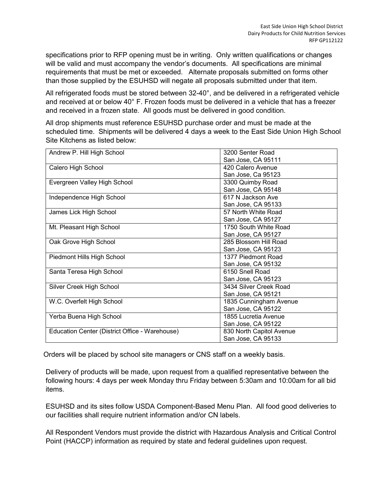specifications prior to RFP opening must be in writing. Only written qualifications or changes will be valid and must accompany the vendor's documents. All specifications are minimal requirements that must be met or exceeded. Alternate proposals submitted on forms other than those supplied by the ESUHSD will negate all proposals submitted under that item.

All refrigerated foods must be stored between 32-40°, and be delivered in a refrigerated vehicle and received at or below 40° F. Frozen foods must be delivered in a vehicle that has a freezer and received in a frozen state. All goods must be delivered in good condition.

All drop shipments must reference ESUHSD purchase order and must be made at the scheduled time. Shipments will be delivered 4 days a week to the East Side Union High School Site Kitchens as listed below:

| Andrew P. Hill High School                     | 3200 Senter Road         |
|------------------------------------------------|--------------------------|
|                                                | San Jose, CA 95111       |
| Calero High School                             | 420 Calero Avenue        |
|                                                | San Jose, Ca 95123       |
| Evergreen Valley High School                   | 3300 Quimby Road         |
|                                                | San Jose, CA 95148       |
| Independence High School                       | 617 N Jackson Ave        |
|                                                | San Jose, CA 95133       |
| James Lick High School                         | 57 North White Road      |
|                                                | San Jose, CA 95127       |
| Mt. Pleasant High School                       | 1750 South White Road    |
|                                                | San Jose, CA 95127       |
| Oak Grove High School                          | 285 Blossom Hill Road    |
|                                                | San Jose, CA 95123       |
| Piedmont Hills High School                     | 1377 Piedmont Road       |
|                                                | San Jose, CA 95132       |
| Santa Teresa High School                       | 6150 Snell Road          |
|                                                | San Jose, CA 95123       |
| Silver Creek High School                       | 3434 Silver Creek Road   |
|                                                | San Jose, CA 95121       |
| W.C. Overfelt High School                      | 1835 Cunningham Avenue   |
|                                                | San Jose, CA 95122       |
| Yerba Buena High School                        | 1855 Lucretia Avenue     |
|                                                | San Jose, CA 95122       |
| Education Center (District Office - Warehouse) | 830 North Capitol Avenue |
|                                                | San Jose, CA 95133       |

Orders will be placed by school site managers or CNS staff on a weekly basis.

Delivery of products will be made, upon request from a qualified representative between the following hours: 4 days per week Monday thru Friday between 5:30am and 10:00am for all bid items.

ESUHSD and its sites follow USDA Component-Based Menu Plan. All food good deliveries to our facilities shall require nutrient information and/or CN labels.

All Respondent Vendors must provide the district with Hazardous Analysis and Critical Control Point (HACCP) information as required by state and federal guidelines upon request.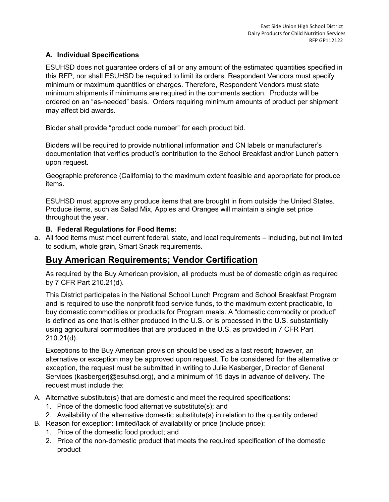#### **A. Individual Specifications**

ESUHSD does not guarantee orders of all or any amount of the estimated quantities specified in this RFP, nor shall ESUHSD be required to limit its orders. Respondent Vendors must specify minimum or maximum quantities or charges. Therefore, Respondent Vendors must state minimum shipments if minimums are required in the comments section. Products will be ordered on an "as-needed" basis. Orders requiring minimum amounts of product per shipment may affect bid awards.

Bidder shall provide "product code number" for each product bid.

Bidders will be required to provide nutritional information and CN labels or manufacturer's documentation that verifies product's contribution to the School Breakfast and/or Lunch pattern upon request.

Geographic preference (California) to the maximum extent feasible and appropriate for produce items.

ESUHSD must approve any produce items that are brought in from outside the United States. Produce items, such as Salad Mix, Apples and Oranges will maintain a single set price throughout the year.

#### **B. Federal Regulations for Food Items:**

a. All food items must meet current federal, state, and local requirements – including, but not limited to sodium, whole grain, Smart Snack requirements.

#### **Buy American Requirements; Vendor Certification**

As required by the Buy American provision, all products must be of domestic origin as required by 7 CFR Part 210.21(d).

This District participates in the National School Lunch Program and School Breakfast Program and is required to use the nonprofit food service funds, to the maximum extent practicable, to buy domestic commodities or products for Program meals. A "domestic commodity or product" is defined as one that is either produced in the U.S. or is processed in the U.S. substantially using agricultural commodities that are produced in the U.S. as provided in 7 CFR Part 210.21(d).

Exceptions to the Buy American provision should be used as a last resort; however, an alternative or exception may be approved upon request. To be considered for the alternative or exception, the request must be submitted in writing to Julie Kasberger, Director of General Services (kasbergerj@esuhsd.org), and a minimum of 15 days in advance of delivery. The request must include the:

- A. Alternative substitute(s) that are domestic and meet the required specifications:
	- 1. Price of the domestic food alternative substitute(s); and
	- 2. Availability of the alternative domestic substitute(s) in relation to the quantity ordered
- B. Reason for exception: limited/lack of availability or price (include price):
	- 1. Price of the domestic food product; and
	- 2. Price of the non-domestic product that meets the required specification of the domestic product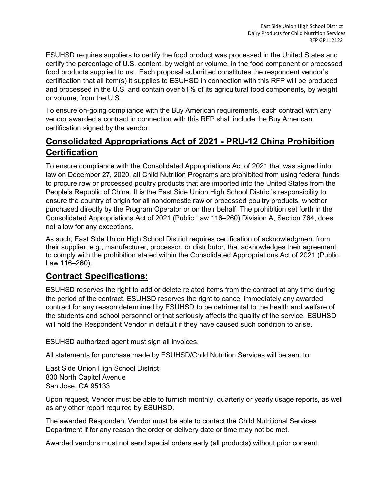ESUHSD requires suppliers to certify the food product was processed in the United States and certify the percentage of U.S. content, by weight or volume, in the food component or processed food products supplied to us. Each proposal submitted constitutes the respondent vendor's certification that all item(s) it supplies to ESUHSD in connection with this RFP will be produced and processed in the U.S. and contain over 51% of its agricultural food components, by weight or volume, from the U.S.

To ensure on-going compliance with the Buy American requirements, each contract with any vendor awarded a contract in connection with this RFP shall include the Buy American certification signed by the vendor.

### **Consolidated Appropriations Act of 2021 - PRU-12 China Prohibition Certification**

To ensure compliance with the Consolidated Appropriations Act of 2021 that was signed into law on December 27, 2020, all Child Nutrition Programs are prohibited from using federal funds to procure raw or processed poultry products that are imported into the United States from the People's Republic of China. It is the East Side Union High School District's responsibility to ensure the country of origin for all nondomestic raw or processed poultry products, whether purchased directly by the Program Operator or on their behalf. The prohibition set forth in the Consolidated Appropriations Act of 2021 (Public Law 116–260) Division A, Section 764, does not allow for any exceptions.

As such, East Side Union High School District requires certification of acknowledgment from their supplier, e.g., manufacturer, processor, or distributor, that acknowledges their agreement to comply with the prohibition stated within the Consolidated Appropriations Act of 2021 (Public Law 116–260).

#### **Contract Specifications:**

ESUHSD reserves the right to add or delete related items from the contract at any time during the period of the contract. ESUHSD reserves the right to cancel immediately any awarded contract for any reason determined by ESUHSD to be detrimental to the health and welfare of the students and school personnel or that seriously affects the quality of the service. ESUHSD will hold the Respondent Vendor in default if they have caused such condition to arise.

ESUHSD authorized agent must sign all invoices.

All statements for purchase made by ESUHSD/Child Nutrition Services will be sent to:

East Side Union High School District 830 North Capitol Avenue San Jose, CA 95133

Upon request, Vendor must be able to furnish monthly, quarterly or yearly usage reports, as well as any other report required by ESUHSD.

The awarded Respondent Vendor must be able to contact the Child Nutritional Services Department if for any reason the order or delivery date or time may not be met.

Awarded vendors must not send special orders early (all products) without prior consent.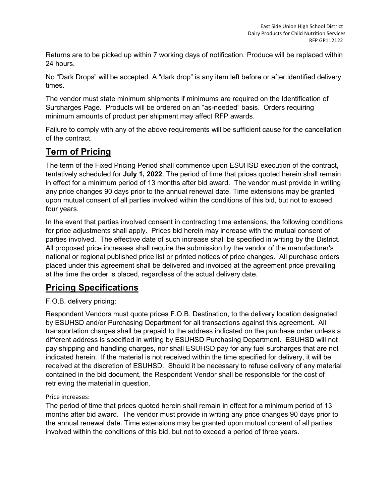Returns are to be picked up within 7 working days of notification. Produce will be replaced within 24 hours.

No "Dark Drops" will be accepted. A "dark drop" is any item left before or after identified delivery times.

The vendor must state minimum shipments if minimums are required on the Identification of Surcharges Page. Products will be ordered on an "as-needed" basis. Orders requiring minimum amounts of product per shipment may affect RFP awards.

Failure to comply with any of the above requirements will be sufficient cause for the cancellation of the contract.

# **Term of Pricing**

The term of the Fixed Pricing Period shall commence upon ESUHSD execution of the contract, tentatively scheduled for **July 1, 2022**. The period of time that prices quoted herein shall remain in effect for a minimum period of 13 months after bid award. The vendor must provide in writing any price changes 90 days prior to the annual renewal date. Time extensions may be granted upon mutual consent of all parties involved within the conditions of this bid, but not to exceed four years.

In the event that parties involved consent in contracting time extensions, the following conditions for price adjustments shall apply. Prices bid herein may increase with the mutual consent of parties involved. The effective date of such increase shall be specified in writing by the District. All proposed price increases shall require the submission by the vendor of the manufacturer's national or regional published price list or printed notices of price changes. All purchase orders placed under this agreement shall be delivered and invoiced at the agreement price prevailing at the time the order is placed, regardless of the actual delivery date.

# **Pricing Specifications**

#### F.O.B. delivery pricing:

Respondent Vendors must quote prices F.O.B. Destination, to the delivery location designated by ESUHSD and/or Purchasing Department for all transactions against this agreement. All transportation charges shall be prepaid to the address indicated on the purchase order unless a different address is specified in writing by ESUHSD Purchasing Department. ESUHSD will not pay shipping and handling charges, nor shall ESUHSD pay for any fuel surcharges that are not indicated herein. If the material is not received within the time specified for delivery, it will be received at the discretion of ESUHSD. Should it be necessary to refuse delivery of any material contained in the bid document, the Respondent Vendor shall be responsible for the cost of retrieving the material in question.

#### Price increases:

The period of time that prices quoted herein shall remain in effect for a minimum period of 13 months after bid award. The vendor must provide in writing any price changes 90 days prior to the annual renewal date. Time extensions may be granted upon mutual consent of all parties involved within the conditions of this bid, but not to exceed a period of three years.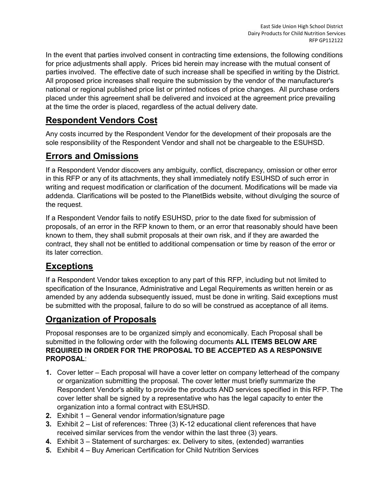In the event that parties involved consent in contracting time extensions, the following conditions for price adjustments shall apply. Prices bid herein may increase with the mutual consent of parties involved. The effective date of such increase shall be specified in writing by the District. All proposed price increases shall require the submission by the vendor of the manufacturer's national or regional published price list or printed notices of price changes. All purchase orders placed under this agreement shall be delivered and invoiced at the agreement price prevailing at the time the order is placed, regardless of the actual delivery date.

# **Respondent Vendors Cost**

Any costs incurred by the Respondent Vendor for the development of their proposals are the sole responsibility of the Respondent Vendor and shall not be chargeable to the ESUHSD.

# **Errors and Omissions**

If a Respondent Vendor discovers any ambiguity, conflict, discrepancy, omission or other error in this RFP or any of its attachments, they shall immediately notify ESUHSD of such error in writing and request modification or clarification of the document. Modifications will be made via addenda. Clarifications will be posted to the PlanetBids website, without divulging the source of the request.

If a Respondent Vendor fails to notify ESUHSD, prior to the date fixed for submission of proposals, of an error in the RFP known to them, or an error that reasonably should have been known to them, they shall submit proposals at their own risk, and if they are awarded the contract, they shall not be entitled to additional compensation or time by reason of the error or its later correction.

### **Exceptions**

If a Respondent Vendor takes exception to any part of this RFP, including but not limited to specification of the Insurance, Administrative and Legal Requirements as written herein or as amended by any addenda subsequently issued, must be done in writing. Said exceptions must be submitted with the proposal, failure to do so will be construed as acceptance of all items.

#### **Organization of Proposals**

Proposal responses are to be organized simply and economically. Each Proposal shall be submitted in the following order with the following documents **ALL ITEMS BELOW ARE REQUIRED IN ORDER FOR THE PROPOSAL TO BE ACCEPTED AS A RESPONSIVE PROPOSAL**:

- **1.** Cover letter Each proposal will have a cover letter on company letterhead of the company or organization submitting the proposal. The cover letter must briefly summarize the Respondent Vendor's ability to provide the products AND services specified in this RFP. The cover letter shall be signed by a representative who has the legal capacity to enter the organization into a formal contract with ESUHSD.
- **2.** Exhibit 1 General vendor information/signature page
- **3.** Exhibit 2 List of references: Three (3) K-12 educational client references that have received similar services from the vendor within the last three (3) years.
- **4.** Exhibit 3 Statement of surcharges: ex. Delivery to sites, (extended) warranties
- **5.** Exhibit 4 Buy American Certification for Child Nutrition Services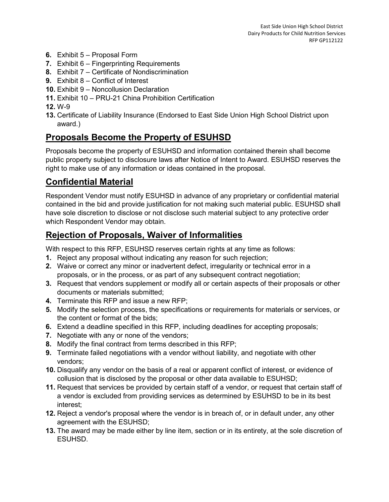- **6.** Exhibit 5 Proposal Form
- **7.** Exhibit 6 Fingerprinting Requirements
- **8.** Exhibit 7 Certificate of Nondiscrimination
- **9.** Exhibit 8 Conflict of Interest
- **10.** Exhibit 9 Noncollusion Declaration
- **11.** Exhibit 10 PRU-21 China Prohibition Certification
- **12.** W-9
- **13.** Certificate of Liability Insurance (Endorsed to East Side Union High School District upon award.)

### **Proposals Become the Property of ESUHSD**

Proposals become the property of ESUHSD and information contained therein shall become public property subject to disclosure laws after Notice of Intent to Award. ESUHSD reserves the right to make use of any information or ideas contained in the proposal.

# **Confidential Material**

Respondent Vendor must notify ESUHSD in advance of any proprietary or confidential material contained in the bid and provide justification for not making such material public. ESUHSD shall have sole discretion to disclose or not disclose such material subject to any protective order which Respondent Vendor may obtain.

# **Rejection of Proposals, Waiver of Informalities**

With respect to this RFP, ESUHSD reserves certain rights at any time as follows:

- **1.** Reject any proposal without indicating any reason for such rejection;
- **2.** Waive or correct any minor or inadvertent defect, irregularity or technical error in a proposals, or in the process, or as part of any subsequent contract negotiation;
- **3.** Request that vendors supplement or modify all or certain aspects of their proposals or other documents or materials submitted;
- **4.** Terminate this RFP and issue a new RFP;
- **5.** Modify the selection process, the specifications or requirements for materials or services, or the content or format of the bids;
- **6.** Extend a deadline specified in this RFP, including deadlines for accepting proposals;
- **7.** Negotiate with any or none of the vendors;
- **8.** Modify the final contract from terms described in this RFP;
- **9.** Terminate failed negotiations with a vendor without liability, and negotiate with other vendors;
- **10.** Disqualify any vendor on the basis of a real or apparent conflict of interest, or evidence of collusion that is disclosed by the proposal or other data available to ESUHSD;
- **11.** Request that services be provided by certain staff of a vendor, or request that certain staff of a vendor is excluded from providing services as determined by ESUHSD to be in its best interest;
- **12.** Reject a vendor's proposal where the vendor is in breach of, or in default under, any other agreement with the ESUHSD;
- **13.** The award may be made either by line item, section or in its entirety, at the sole discretion of ESUHSD.